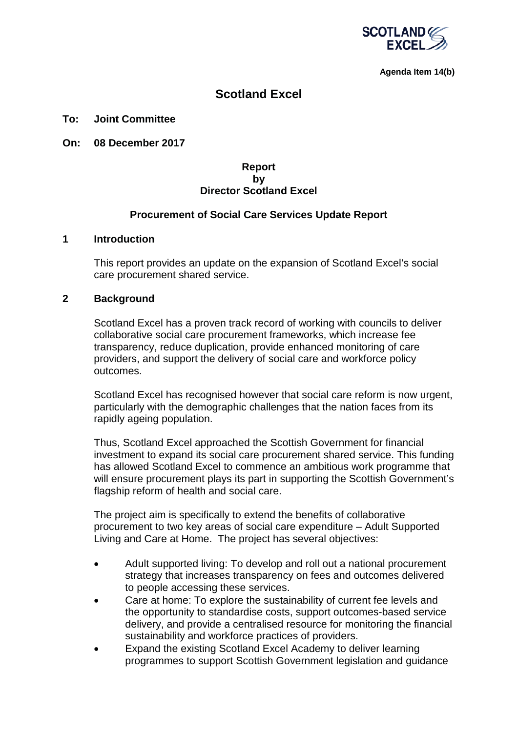

**Agenda Item 14(b)**

# **Scotland Excel**

#### **To: Joint Committee**

**On: 08 December 2017**

### **Report by Director Scotland Excel**

#### **Procurement of Social Care Services Update Report**

#### **1 Introduction**

This report provides an update on the expansion of Scotland Excel's social care procurement shared service.

#### **2 Background**

Scotland Excel has a proven track record of working with councils to deliver collaborative social care procurement frameworks, which increase fee transparency, reduce duplication, provide enhanced monitoring of care providers, and support the delivery of social care and workforce policy outcomes.

Scotland Excel has recognised however that social care reform is now urgent. particularly with the demographic challenges that the nation faces from its rapidly ageing population.

Thus, Scotland Excel approached the Scottish Government for financial investment to expand its social care procurement shared service. This funding has allowed Scotland Excel to commence an ambitious work programme that will ensure procurement plays its part in supporting the Scottish Government's flagship reform of health and social care.

The project aim is specifically to extend the benefits of collaborative procurement to two key areas of social care expenditure – Adult Supported Living and Care at Home. The project has several objectives:

- Adult supported living: To develop and roll out a national procurement strategy that increases transparency on fees and outcomes delivered to people accessing these services.
- Care at home: To explore the sustainability of current fee levels and the opportunity to standardise costs, support outcomes-based service delivery, and provide a centralised resource for monitoring the financial sustainability and workforce practices of providers.
- Expand the existing Scotland Excel Academy to deliver learning programmes to support Scottish Government legislation and guidance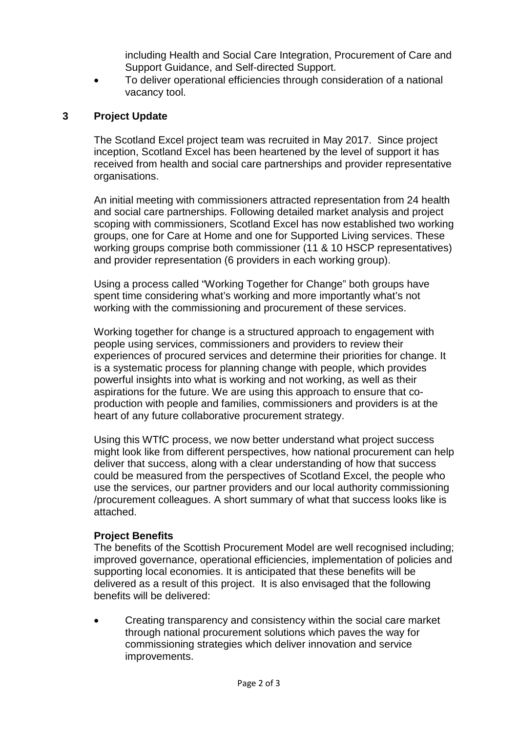including Health and Social Care Integration, Procurement of Care and Support Guidance, and Self-directed Support.

To deliver operational efficiencies through consideration of a national vacancy tool.

# **3 Project Update**

The Scotland Excel project team was recruited in May 2017. Since project inception, Scotland Excel has been heartened by the level of support it has received from health and social care partnerships and provider representative organisations.

An initial meeting with commissioners attracted representation from 24 health and social care partnerships. Following detailed market analysis and project scoping with commissioners, Scotland Excel has now established two working groups, one for Care at Home and one for Supported Living services. These working groups comprise both commissioner (11 & 10 HSCP representatives) and provider representation (6 providers in each working group).

Using a process called "Working Together for Change" both groups have spent time considering what's working and more importantly what's not working with the commissioning and procurement of these services.

Working together for change is a structured approach to engagement with people using services, commissioners and providers to review their experiences of procured services and determine their priorities for change. It is a systematic process for planning change with people, which provides powerful insights into what is working and not working, as well as their aspirations for the future. We are using this approach to ensure that coproduction with people and families, commissioners and providers is at the heart of any future collaborative procurement strategy.

Using this WTfC process, we now better understand what project success might look like from different perspectives, how national procurement can help deliver that success, along with a clear understanding of how that success could be measured from the perspectives of Scotland Excel, the people who use the services, our partner providers and our local authority commissioning /procurement colleagues. A short summary of what that success looks like is attached.

### **Project Benefits**

The benefits of the Scottish Procurement Model are well recognised including; improved governance, operational efficiencies, implementation of policies and supporting local economies. It is anticipated that these benefits will be delivered as a result of this project. It is also envisaged that the following benefits will be delivered:

Creating transparency and consistency within the social care market through national procurement solutions which paves the way for commissioning strategies which deliver innovation and service improvements.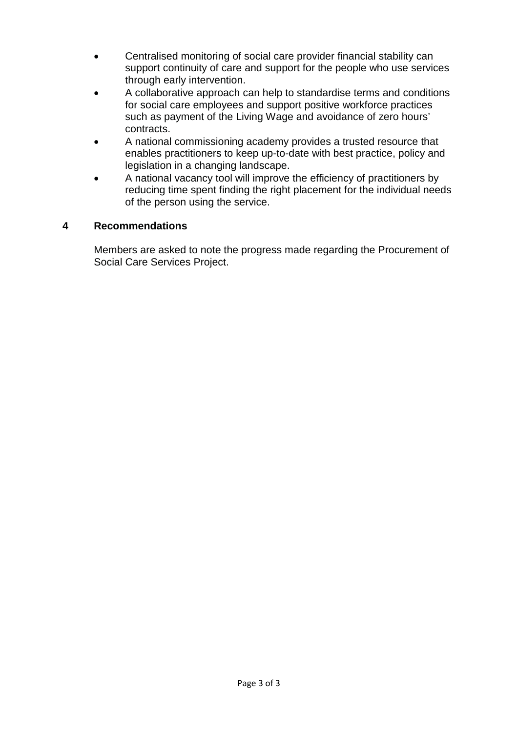- Centralised monitoring of social care provider financial stability can support continuity of care and support for the people who use services through early intervention.
- x A collaborative approach can help to standardise terms and conditions for social care employees and support positive workforce practices such as payment of the Living Wage and avoidance of zero hours' contracts.
- A national commissioning academy provides a trusted resource that enables practitioners to keep up-to-date with best practice, policy and legislation in a changing landscape.
- A national vacancy tool will improve the efficiency of practitioners by reducing time spent finding the right placement for the individual needs of the person using the service.

# **4 Recommendations**

Members are asked to note the progress made regarding the Procurement of Social Care Services Project.